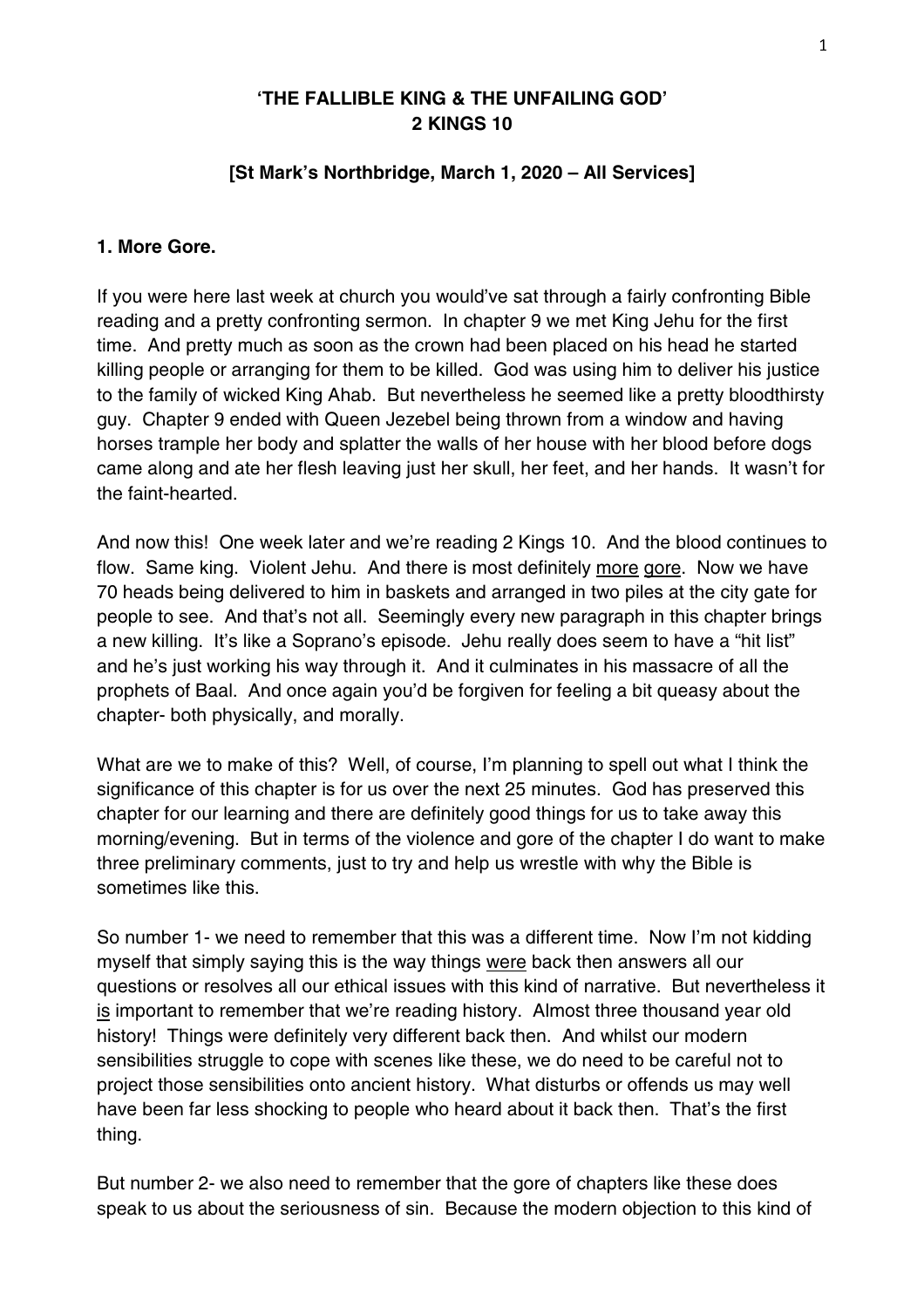#### **'THE FALLIBLE KING & THE UNFAILING GOD' 2 KINGS 10**

#### **[St Mark's Northbridge, March 1, 2020 – All Services]**

#### **1. More Gore.**

If you were here last week at church you would've sat through a fairly confronting Bible reading and a pretty confronting sermon. In chapter 9 we met King Jehu for the first time. And pretty much as soon as the crown had been placed on his head he started killing people or arranging for them to be killed. God was using him to deliver his justice to the family of wicked King Ahab. But nevertheless he seemed like a pretty bloodthirsty guy. Chapter 9 ended with Queen Jezebel being thrown from a window and having horses trample her body and splatter the walls of her house with her blood before dogs came along and ate her flesh leaving just her skull, her feet, and her hands. It wasn't for the faint-hearted.

And now this! One week later and we're reading 2 Kings 10. And the blood continues to flow. Same king. Violent Jehu. And there is most definitely more gore. Now we have 70 heads being delivered to him in baskets and arranged in two piles at the city gate for people to see. And that's not all. Seemingly every new paragraph in this chapter brings a new killing. It's like a Soprano's episode. Jehu really does seem to have a "hit list" and he's just working his way through it. And it culminates in his massacre of all the prophets of Baal. And once again you'd be forgiven for feeling a bit queasy about the chapter- both physically, and morally.

What are we to make of this? Well, of course, I'm planning to spell out what I think the significance of this chapter is for us over the next 25 minutes. God has preserved this chapter for our learning and there are definitely good things for us to take away this morning/evening. But in terms of the violence and gore of the chapter I do want to make three preliminary comments, just to try and help us wrestle with why the Bible is sometimes like this.

So number 1- we need to remember that this was a different time. Now I'm not kidding myself that simply saying this is the way things were back then answers all our questions or resolves all our ethical issues with this kind of narrative. But nevertheless it is important to remember that we're reading history. Almost three thousand year old history! Things were definitely very different back then. And whilst our modern sensibilities struggle to cope with scenes like these, we do need to be careful not to project those sensibilities onto ancient history. What disturbs or offends us may well have been far less shocking to people who heard about it back then. That's the first thing.

But number 2- we also need to remember that the gore of chapters like these does speak to us about the seriousness of sin. Because the modern objection to this kind of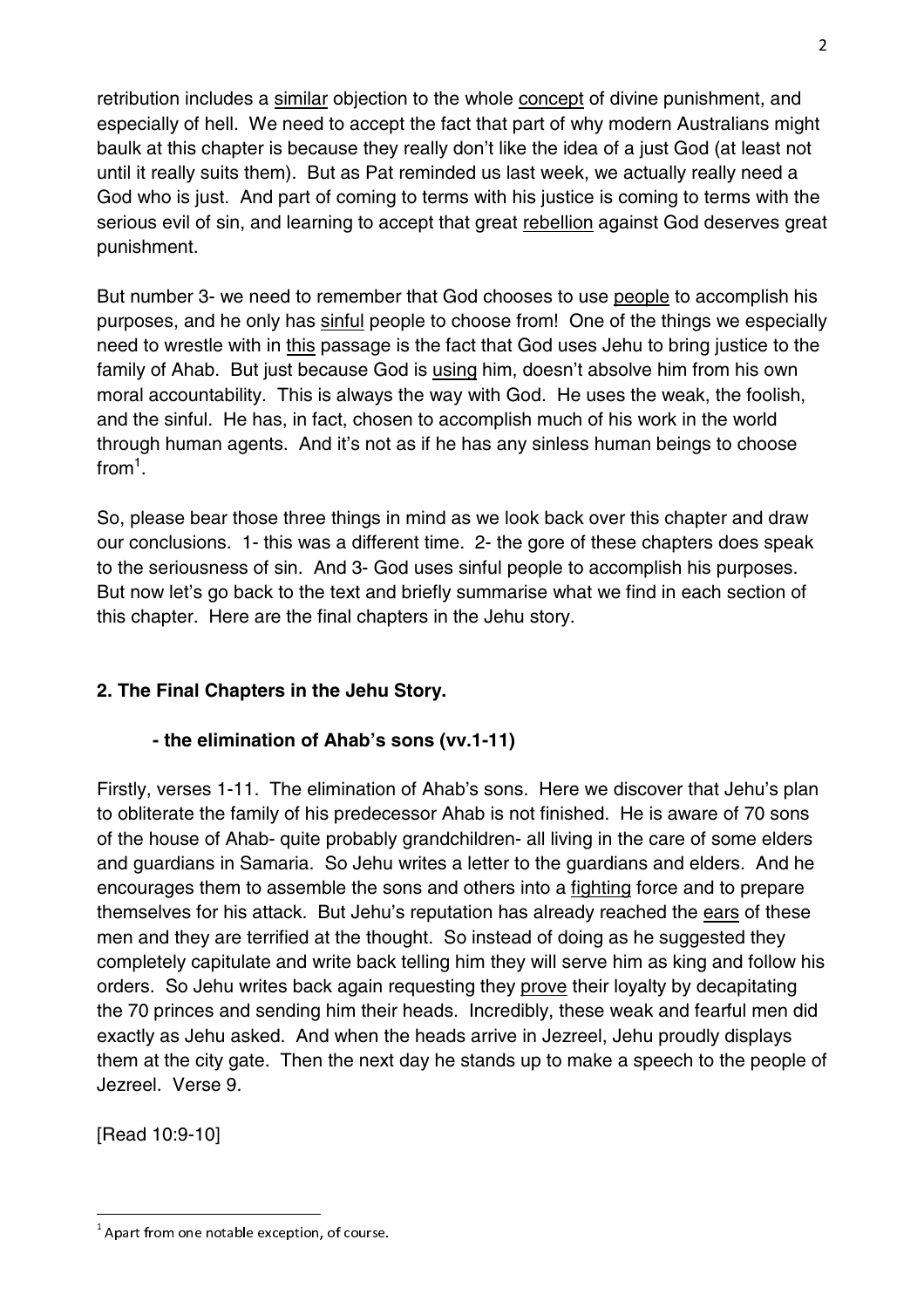retribution includes a similar objection to the whole concept of divine punishment, and especially of hell. We need to accept the fact that part of why modern Australians might baulk at this chapter is because they really don't like the idea of a just God (at least not until it really suits them). But as Pat reminded us last week, we actually really need a God who is just. And part of coming to terms with his justice is coming to terms with the serious evil of sin, and learning to accept that great rebellion against God deserves great punishment.

But number 3- we need to remember that God chooses to use people to accomplish his purposes, and he only has sinful people to choose from! One of the things we especially need to wrestle with in this passage is the fact that God uses Jehu to bring justice to the family of Ahab. But just because God is using him, doesn't absolve him from his own moral accountability. This is always the way with God. He uses the weak, the foolish, and the sinful. He has, in fact, chosen to accomplish much of his work in the world through human agents. And it's not as if he has any sinless human beings to choose from $^1$ .

So, please bear those three things in mind as we look back over this chapter and draw our conclusions. 1- this was a different time. 2- the gore of these chapters does speak to the seriousness of sin. And 3- God uses sinful people to accomplish his purposes. But now let's go back to the text and briefly summarise what we find in each section of this chapter. Here are the final chapters in the Jehu story.

# **2. The Final Chapters in the Jehu Story.**

#### **- the elimination of Ahab's sons (vv.1-11)**

Firstly, verses 1-11. The elimination of Ahab's sons. Here we discover that Jehu's plan to obliterate the family of his predecessor Ahab is not finished. He is aware of 70 sons of the house of Ahab- quite probably grandchildren- all living in the care of some elders and guardians in Samaria. So Jehu writes a letter to the guardians and elders. And he encourages them to assemble the sons and others into a fighting force and to prepare themselves for his attack. But Jehu's reputation has already reached the ears of these men and they are terrified at the thought. So instead of doing as he suggested they completely capitulate and write back telling him they will serve him as king and follow his orders. So Jehu writes back again requesting they prove their loyalty by decapitating the 70 princes and sending him their heads. Incredibly, these weak and fearful men did exactly as Jehu asked. And when the heads arrive in Jezreel, Jehu proudly displays them at the city gate. Then the next day he stands up to make a speech to the people of Jezreel. Verse 9.

[Read 10:9-10]

 $\overline{2}$ 

 $^{\rm 1}$  Apart from one notable exception, of course.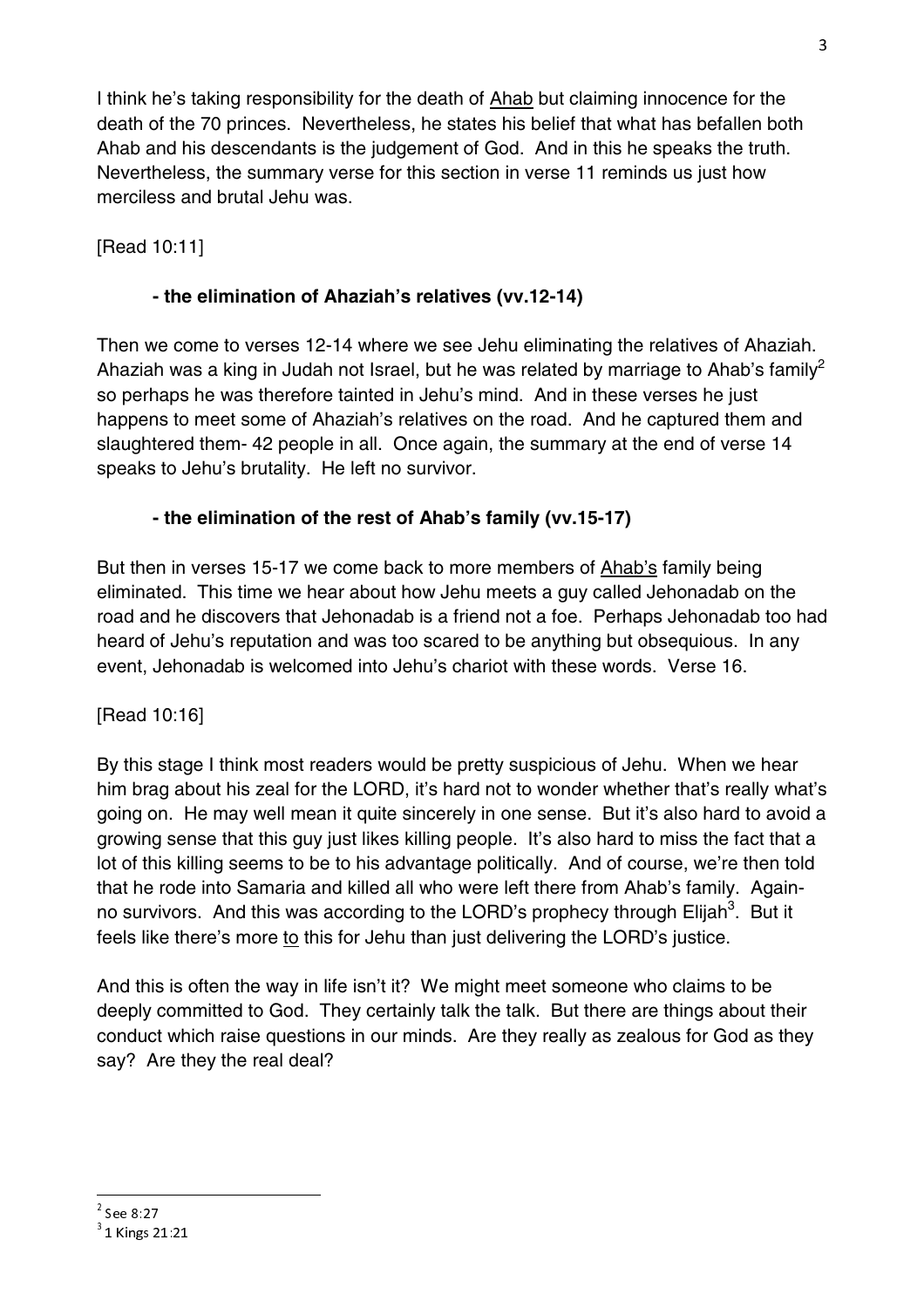I think he's taking responsibility for the death of Ahab but claiming innocence for the death of the 70 princes. Nevertheless, he states his belief that what has befallen both Ahab and his descendants is the judgement of God. And in this he speaks the truth. Nevertheless, the summary verse for this section in verse 11 reminds us just how merciless and brutal Jehu was.

# [Read 10:11]

### **- the elimination of Ahaziah's relatives (vv.12-14)**

Then we come to verses 12-14 where we see Jehu eliminating the relatives of Ahaziah. Ahaziah was a king in Judah not Israel, but he was related by marriage to Ahab's family<sup>2</sup> so perhaps he was therefore tainted in Jehu's mind. And in these verses he just happens to meet some of Ahaziah's relatives on the road. And he captured them and slaughtered them- 42 people in all. Once again, the summary at the end of verse 14 speaks to Jehu's brutality. He left no survivor.

# **- the elimination of the rest of Ahab's family (vv.15-17)**

But then in verses 15-17 we come back to more members of **Ahab's** family being eliminated. This time we hear about how Jehu meets a guy called Jehonadab on the road and he discovers that Jehonadab is a friend not a foe. Perhaps Jehonadab too had heard of Jehu's reputation and was too scared to be anything but obsequious. In any event, Jehonadab is welcomed into Jehu's chariot with these words. Verse 16.

#### [Read 10:16]

By this stage I think most readers would be pretty suspicious of Jehu. When we hear him brag about his zeal for the LORD, it's hard not to wonder whether that's really what's going on. He may well mean it quite sincerely in one sense. But it's also hard to avoid a growing sense that this guy just likes killing people. It's also hard to miss the fact that a lot of this killing seems to be to his advantage politically. And of course, we're then told that he rode into Samaria and killed all who were left there from Ahab's family. Againno survivors. And this was according to the LORD's prophecy through Elijah<sup>3</sup>. But it feels like there's more to this for Jehu than just delivering the LORD's justice.

And this is often the way in life isn't it? We might meet someone who claims to be deeply committed to God. They certainly talk the talk. But there are things about their conduct which raise questions in our minds. Are they really as zealous for God as they say? Are they the real deal?

 2

 $3^{3}$  1 Kings 21:21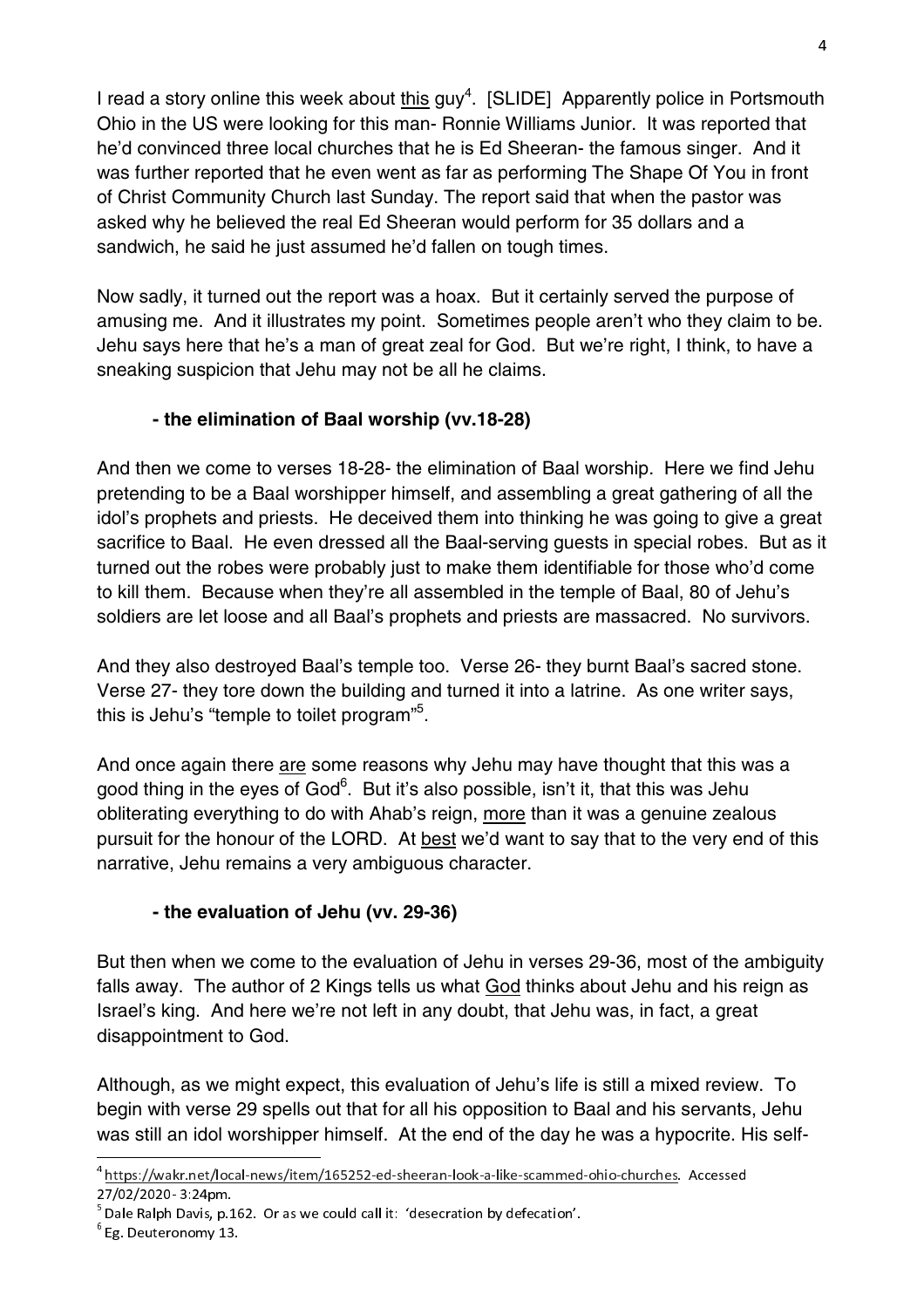I read a story online this week about this guy<sup>4</sup>. [SLIDE] Apparently police in Portsmouth Ohio in the US were looking for this man- Ronnie Williams Junior. It was reported that he'd convinced three local churches that he is Ed Sheeran- the famous singer. And it was further reported that he even went as far as performing The Shape Of You in front of Christ Community Church last Sunday. The report said that when the pastor was asked why he believed the real Ed Sheeran would perform for 35 dollars and a sandwich, he said he just assumed he'd fallen on tough times.

Now sadly, it turned out the report was a hoax. But it certainly served the purpose of amusing me. And it illustrates my point. Sometimes people aren't who they claim to be. Jehu says here that he's a man of great zeal for God. But we're right, I think, to have a sneaking suspicion that Jehu may not be all he claims.

# **- the elimination of Baal worship (vv.18-28)**

And then we come to verses 18-28- the elimination of Baal worship. Here we find Jehu pretending to be a Baal worshipper himself, and assembling a great gathering of all the idol's prophets and priests. He deceived them into thinking he was going to give a great sacrifice to Baal. He even dressed all the Baal-serving guests in special robes. But as it turned out the robes were probably just to make them identifiable for those who'd come to kill them. Because when they're all assembled in the temple of Baal, 80 of Jehu's soldiers are let loose and all Baal's prophets and priests are massacred. No survivors.

And they also destroyed Baal's temple too. Verse 26- they burnt Baal's sacred stone. Verse 27- they tore down the building and turned it into a latrine. As one writer says, this is Jehu's "temple to toilet program"<sup>5</sup>.

And once again there are some reasons why Jehu may have thought that this was a good thing in the eyes of God<sup>6</sup>. But it's also possible, isn't it, that this was Jehu obliterating everything to do with Ahab's reign, more than it was a genuine zealous pursuit for the honour of the LORD. At best we'd want to say that to the very end of this narrative, Jehu remains a very ambiguous character.

#### **- the evaluation of Jehu (vv. 29-36)**

But then when we come to the evaluation of Jehu in verses 29-36, most of the ambiguity falls away. The author of 2 Kings tells us what God thinks about Jehu and his reign as Israel's king. And here we're not left in any doubt, that Jehu was, in fact, a great disappointment to God.

Although, as we might expect, this evaluation of Jehu's life is still a mixed review. To begin with verse 29 spells out that for all his opposition to Baal and his servants, Jehu was still an idol worshipper himself. At the end of the day he was a hypocrite. His self-

<sup>&</sup>lt;sup>4</sup> https://wakr.net/local-news/item/165252-ed-sheeran-look-a-like-scammed-ohio-churches. Accessed<br>27/02/2020 -2.24

<sup>27702/2020- 3:24</sup>pm.<br><sup>5</sup> Dale Ralph Davis, p.162. Or as we could call it: 'desecration by defecation'.<br><sup>6</sup> F – D – t

<sup>6</sup> Eg. Deuteronomy 13.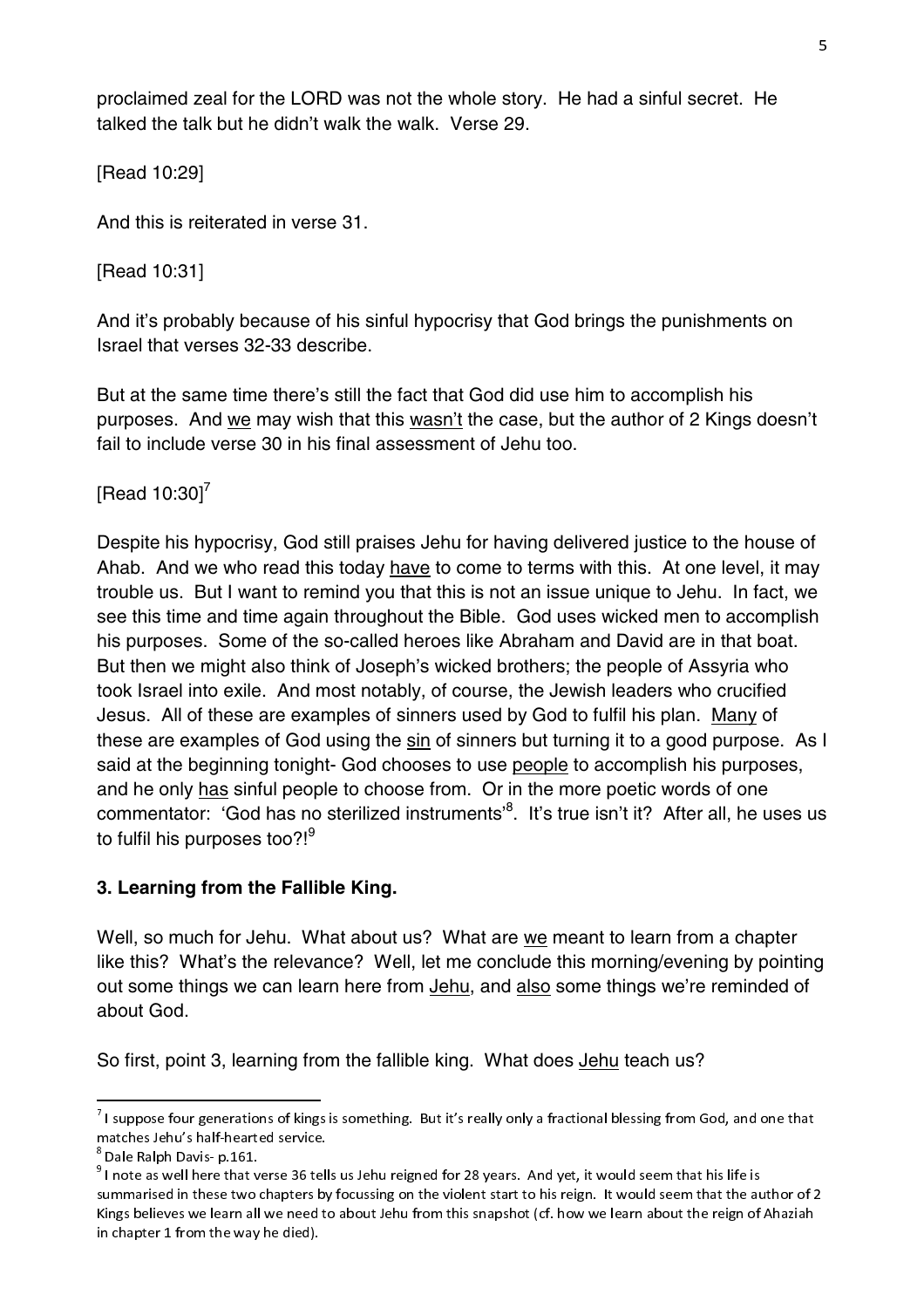proclaimed zeal for the LORD was not the whole story. He had a sinful secret. He talked the talk but he didn't walk the walk. Verse 29.

[Read 10:29]

And this is reiterated in verse 31.

[Read 10:31]

And it's probably because of his sinful hypocrisy that God brings the punishments on Israel that verses 32-33 describe.

But at the same time there's still the fact that God did use him to accomplish his purposes. And we may wish that this wasn't the case, but the author of 2 Kings doesn't fail to include verse 30 in his final assessment of Jehu too.

[Read  $10:30$ ]<sup>7</sup>

Despite his hypocrisy, God still praises Jehu for having delivered justice to the house of Ahab. And we who read this today have to come to terms with this. At one level, it may trouble us. But I want to remind you that this is not an issue unique to Jehu. In fact, we see this time and time again throughout the Bible. God uses wicked men to accomplish his purposes. Some of the so-called heroes like Abraham and David are in that boat. But then we might also think of Joseph's wicked brothers; the people of Assyria who took Israel into exile. And most notably, of course, the Jewish leaders who crucified Jesus. All of these are examples of sinners used by God to fulfil his plan. Many of these are examples of God using the sin of sinners but turning it to a good purpose. As I said at the beginning tonight- God chooses to use people to accomplish his purposes, and he only has sinful people to choose from. Or in the more poetic words of one commentator: 'God has no sterilized instruments'<sup>8</sup>. It's true isn't it? After all, he uses us to fulfil his purposes too?! $9$ 

# **3. Learning from the Fallible King.**

Well, so much for Jehu. What about us? What are we meant to learn from a chapter like this? What's the relevance? Well, let me conclude this morning/evening by pointing out some things we can learn here from Jehu, and also some things we're reminded of about God.

So first, point 3, learning from the fallible king. What does Jehu teach us?

<sup>&</sup>lt;sup>7</sup> I suppose four generations of kings is something. But it's really only a fractional blessing from God, and one that<br>And the state of the state of the state of the state of the state of the state of the state of the st matches Jehu's half-hearted service.<br><sup>8</sup> Dale Ralph Davis- p.161.

bale Ralph Davis- p.161.<br><sup>9</sup> I note as well here that verse 36 tells us Jehu reigned for 28 years. And yet, it would seem that his life is summarised in these two chapters by focussing on the violent start to his reign. It would seem that the author of 2. Kings believes we learn all we hele to about Jehu from this snapshot (cf. how we learn about the reign of Ahaziah<br>. in chapter 1 from the way he died).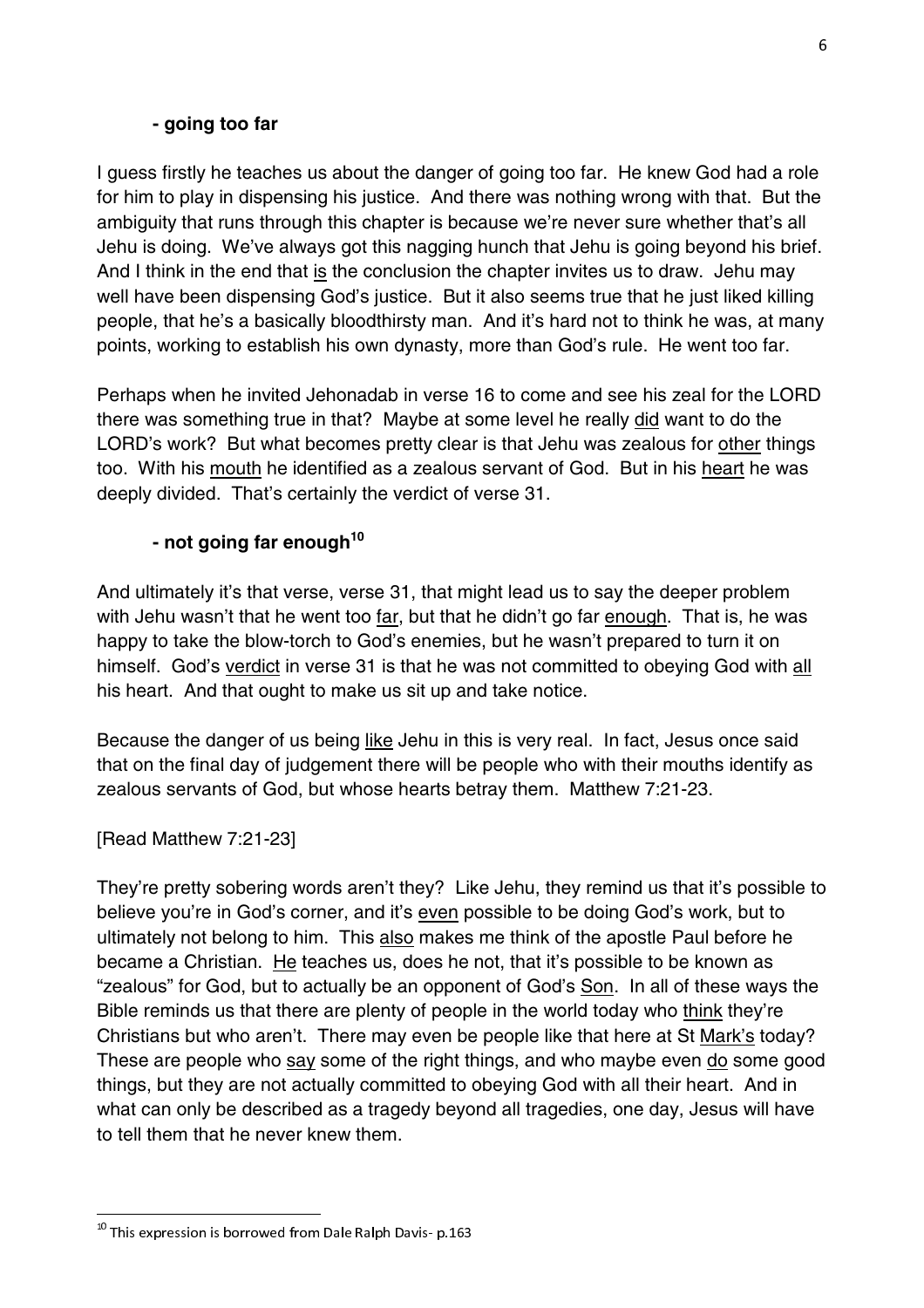#### **- going too far**

I guess firstly he teaches us about the danger of going too far. He knew God had a role for him to play in dispensing his justice. And there was nothing wrong with that. But the ambiguity that runs through this chapter is because we're never sure whether that's all Jehu is doing. We've always got this nagging hunch that Jehu is going beyond his brief. And I think in the end that is the conclusion the chapter invites us to draw. Jehu may well have been dispensing God's justice. But it also seems true that he just liked killing people, that he's a basically bloodthirsty man. And it's hard not to think he was, at many points, working to establish his own dynasty, more than God's rule. He went too far.

Perhaps when he invited Jehonadab in verse 16 to come and see his zeal for the LORD there was something true in that? Maybe at some level he really did want to do the LORD's work? But what becomes pretty clear is that Jehu was zealous for other things too. With his mouth he identified as a zealous servant of God. But in his heart he was deeply divided. That's certainly the verdict of verse 31.

# **- not going far enough<sup>10</sup>**

And ultimately it's that verse, verse 31, that might lead us to say the deeper problem with Jehu wasn't that he went too far, but that he didn't go far enough. That is, he was happy to take the blow-torch to God's enemies, but he wasn't prepared to turn it on himself. God's verdict in verse 31 is that he was not committed to obeying God with all his heart. And that ought to make us sit up and take notice.

Because the danger of us being like Jehu in this is very real. In fact, Jesus once said that on the final day of judgement there will be people who with their mouths identify as zealous servants of God, but whose hearts betray them. Matthew 7:21-23.

[Read Matthew 7:21-23]

They're pretty sobering words aren't they? Like Jehu, they remind us that it's possible to believe you're in God's corner, and it's even possible to be doing God's work, but to ultimately not belong to him. This also makes me think of the apostle Paul before he became a Christian. He teaches us, does he not, that it's possible to be known as "zealous" for God, but to actually be an opponent of God's Son. In all of these ways the Bible reminds us that there are plenty of people in the world today who think they're Christians but who aren't. There may even be people like that here at St Mark's today? These are people who say some of the right things, and who maybe even do some good things, but they are not actually committed to obeying God with all their heart. And in what can only be described as a tragedy beyond all tragedies, one day, Jesus will have to tell them that he never knew them.

 $^{\rm 10}$  This expression is borrowed from Dale Ralph Davis- p.163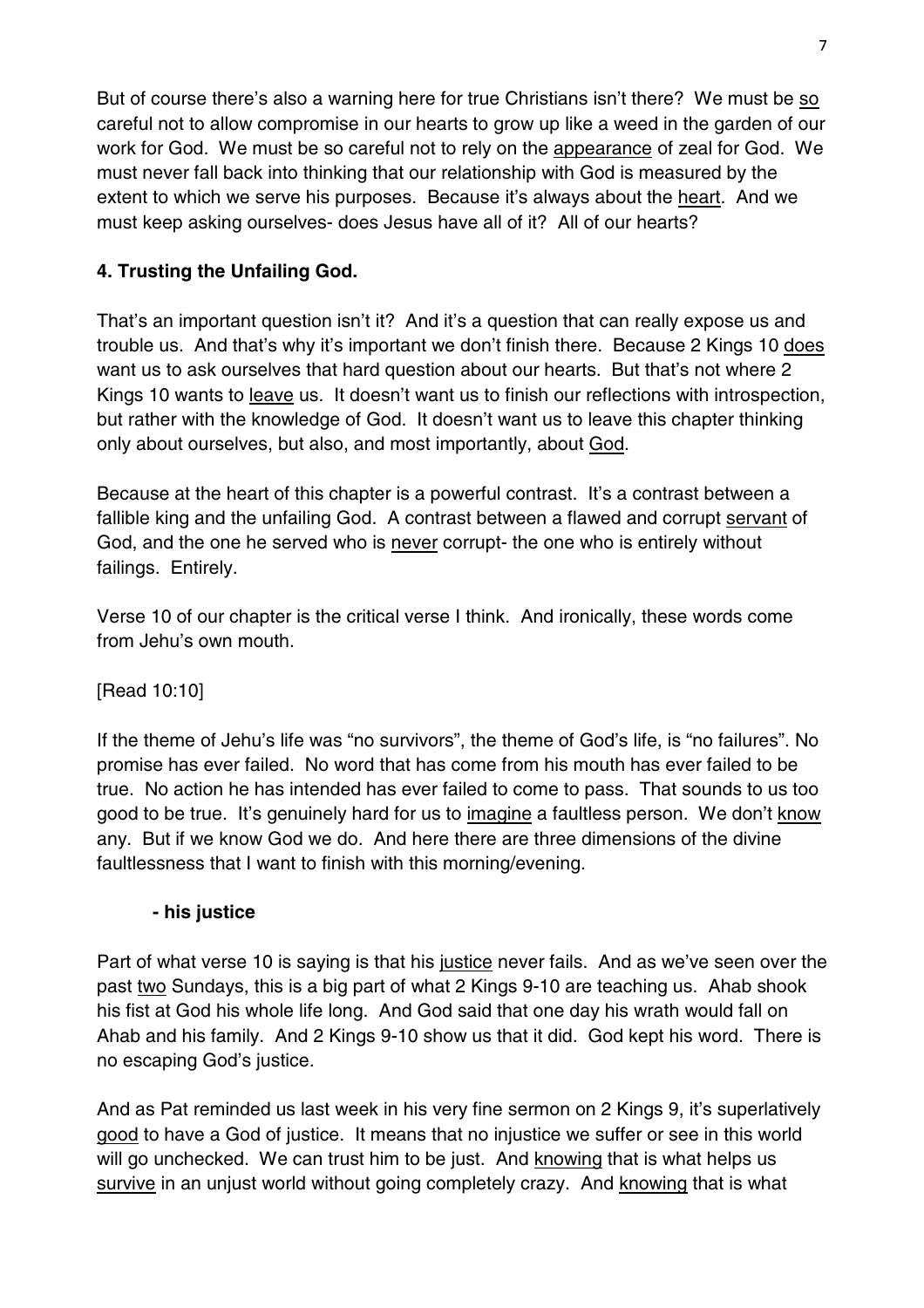But of course there's also a warning here for true Christians isn't there? We must be so careful not to allow compromise in our hearts to grow up like a weed in the garden of our work for God. We must be so careful not to rely on the appearance of zeal for God. We must never fall back into thinking that our relationship with God is measured by the extent to which we serve his purposes. Because it's always about the heart. And we must keep asking ourselves- does Jesus have all of it? All of our hearts?

# **4. Trusting the Unfailing God.**

That's an important question isn't it? And it's a question that can really expose us and trouble us. And that's why it's important we don't finish there. Because 2 Kings 10 does want us to ask ourselves that hard question about our hearts. But that's not where 2 Kings 10 wants to leave us. It doesn't want us to finish our reflections with introspection, but rather with the knowledge of God. It doesn't want us to leave this chapter thinking only about ourselves, but also, and most importantly, about God.

Because at the heart of this chapter is a powerful contrast. It's a contrast between a fallible king and the unfailing God. A contrast between a flawed and corrupt servant of God, and the one he served who is never corrupt- the one who is entirely without failings. Entirely.

Verse 10 of our chapter is the critical verse I think. And ironically, these words come from Jehu's own mouth.

[Read 10:10]

If the theme of Jehu's life was "no survivors", the theme of God's life, is "no failures". No promise has ever failed. No word that has come from his mouth has ever failed to be true. No action he has intended has ever failed to come to pass. That sounds to us too good to be true. It's genuinely hard for us to imagine a faultless person. We don't know any. But if we know God we do. And here there are three dimensions of the divine faultlessness that I want to finish with this morning/evening.

#### **- his justice**

Part of what verse 10 is saying is that his justice never fails. And as we've seen over the past two Sundays, this is a big part of what 2 Kings 9-10 are teaching us. Ahab shook his fist at God his whole life long. And God said that one day his wrath would fall on Ahab and his family. And 2 Kings 9-10 show us that it did. God kept his word. There is no escaping God's justice.

And as Pat reminded us last week in his very fine sermon on 2 Kings 9, it's superlatively good to have a God of justice. It means that no injustice we suffer or see in this world will go unchecked. We can trust him to be just. And knowing that is what helps us survive in an unjust world without going completely crazy. And knowing that is what